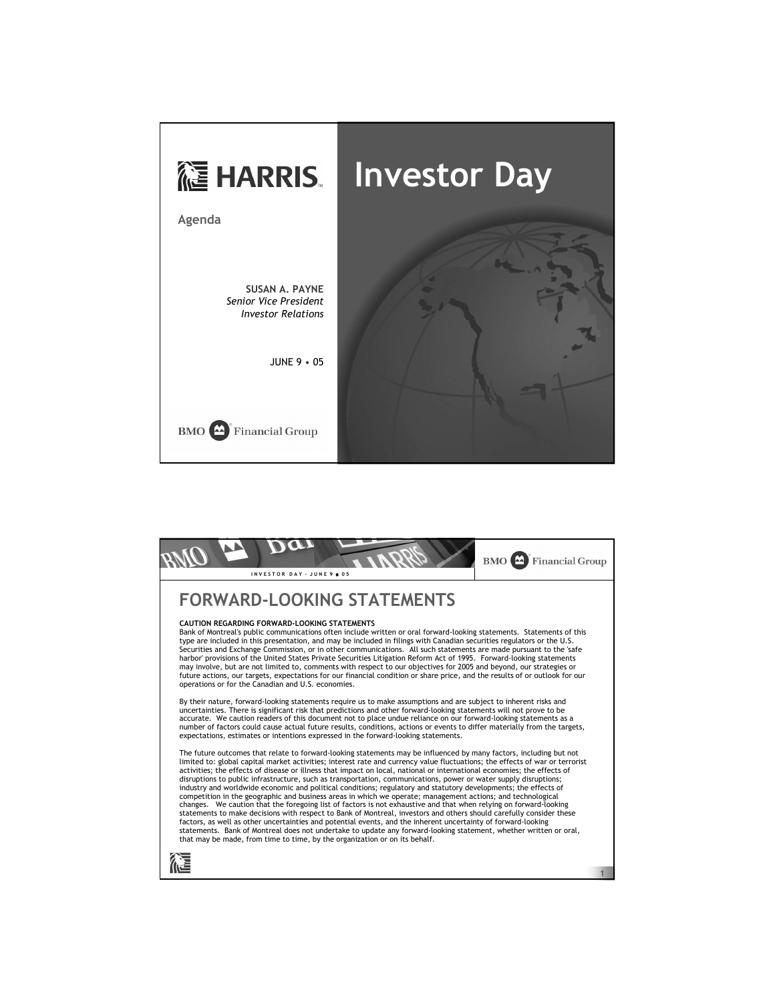

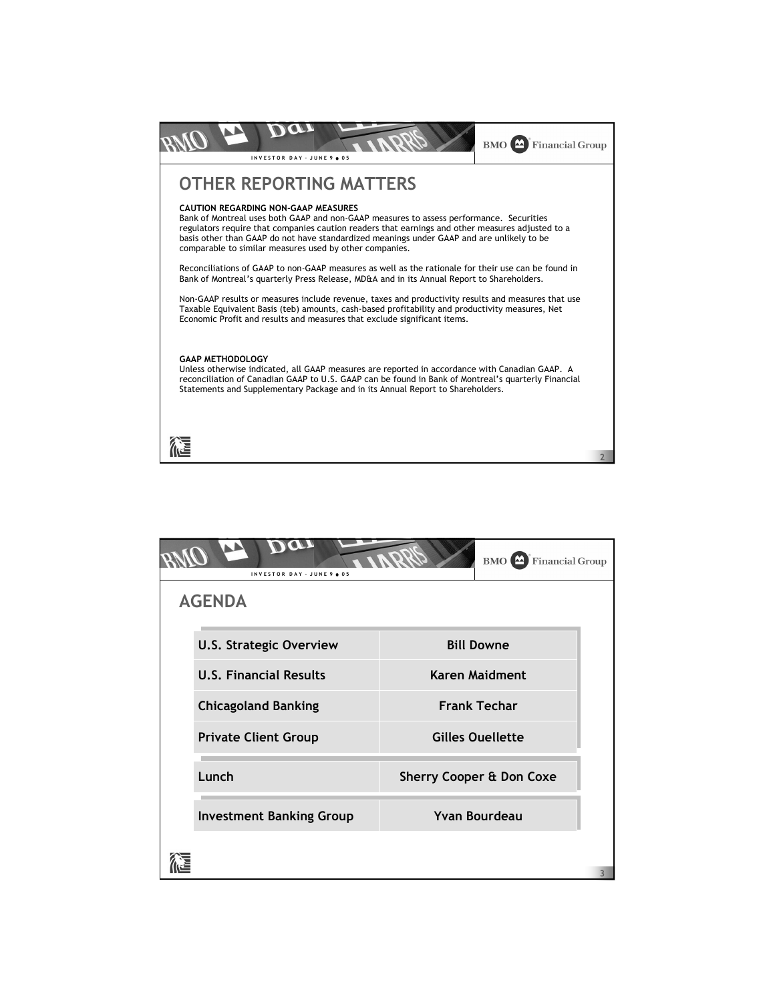

| BMO<br><b>Financial Group</b><br>INVESTOR DAY - JUNE 9 . 05 |                                                         |                                                                                              |                                     |  |
|-------------------------------------------------------------|---------------------------------------------------------|----------------------------------------------------------------------------------------------|-------------------------------------|--|
| <b>AGENDA</b>                                               |                                                         |                                                                                              |                                     |  |
|                                                             | <b>U.S. Strategic Overview</b>                          | <b>Bill Downe</b><br><b>Karen Maidment</b><br><b>Frank Techar</b><br><b>Gilles Ouellette</b> |                                     |  |
|                                                             | <b>U.S. Financial Results</b>                           |                                                                                              |                                     |  |
|                                                             | <b>Chicagoland Banking</b>                              |                                                                                              |                                     |  |
|                                                             | <b>Private Client Group</b>                             |                                                                                              |                                     |  |
|                                                             | Lunch                                                   |                                                                                              | <b>Sherry Cooper &amp; Don Coxe</b> |  |
|                                                             | <b>Yvan Bourdeau</b><br><b>Investment Banking Group</b> |                                                                                              |                                     |  |
|                                                             |                                                         |                                                                                              |                                     |  |
|                                                             |                                                         |                                                                                              |                                     |  |